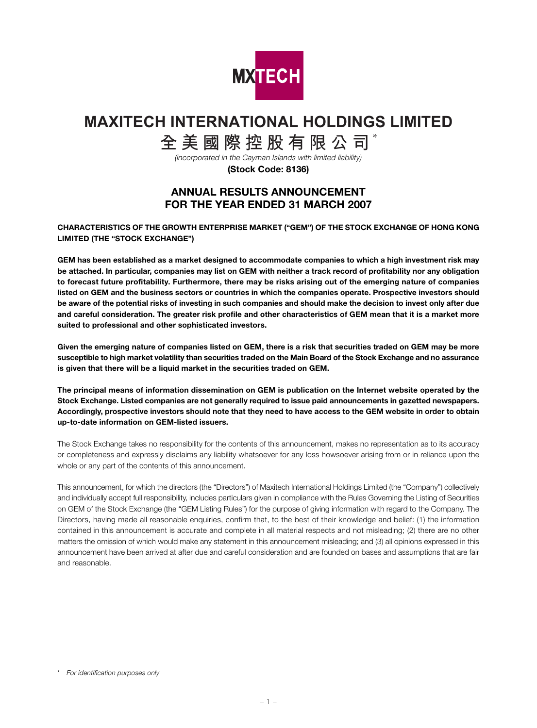

# **MAXITECH INTERNATIONAL HOLDINGS LIMITED**

# **全美國際控股有限公司** \*

*(incorporated in the Cayman Islands with limited liability)*

**(Stock Code: 8136)**

# **ANNUAL RESULTS ANNOUNCEMENT FOR THE YEAR ENDED 31 MARCH 2007**

## **CHARACTERISTICS OF THE GROWTH ENTERPRISE MARKET ("GEM") OF THE STOCK EXCHANGE OF HONG KONG LIMITED (THE "STOCK EXCHANGE")**

**GEM has been established as a market designed to accommodate companies to which a high investment risk may be attached. In particular, companies may list on GEM with neither a track record of profitability nor any obligation to forecast future profitability. Furthermore, there may be risks arising out of the emerging nature of companies listed on GEM and the business sectors or countries in which the companies operate. Prospective investors should be aware of the potential risks of investing in such companies and should make the decision to invest only after due and careful consideration. The greater risk profile and other characteristics of GEM mean that it is a market more suited to professional and other sophisticated investors.**

**Given the emerging nature of companies listed on GEM, there is a risk that securities traded on GEM may be more susceptible to high market volatility than securities traded on the Main Board of the Stock Exchange and no assurance is given that there will be a liquid market in the securities traded on GEM.**

**The principal means of information dissemination on GEM is publication on the Internet website operated by the Stock Exchange. Listed companies are not generally required to issue paid announcements in gazetted newspapers. Accordingly, prospective investors should note that they need to have access to the GEM website in order to obtain up-to-date information on GEM-listed issuers.**

The Stock Exchange takes no responsibility for the contents of this announcement, makes no representation as to its accuracy or completeness and expressly disclaims any liability whatsoever for any loss howsoever arising from or in reliance upon the whole or any part of the contents of this announcement.

This announcement, for which the directors (the "Directors") of Maxitech International Holdings Limited (the "Company") collectively and individually accept full responsibility, includes particulars given in compliance with the Rules Governing the Listing of Securities on GEM of the Stock Exchange (the "GEM Listing Rules") for the purpose of giving information with regard to the Company. The Directors, having made all reasonable enquiries, confirm that, to the best of their knowledge and belief: (1) the information contained in this announcement is accurate and complete in all material respects and not misleading; (2) there are no other matters the omission of which would make any statement in this announcement misleading; and (3) all opinions expressed in this announcement have been arrived at after due and careful consideration and are founded on bases and assumptions that are fair and reasonable.

<sup>\*</sup> *For identification purposes only*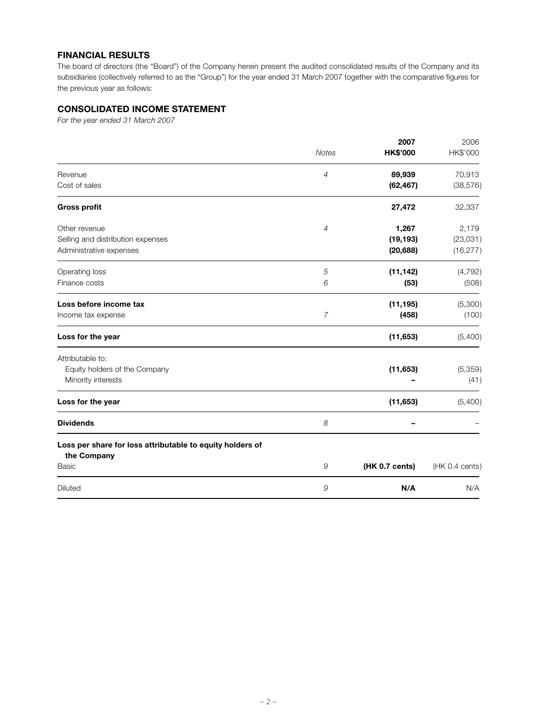# **FINANCIAL RESULTS**

The board of directors (the "Board") of the Company herein present the audited consolidated results of the Company and its subsidiaries (collectively referred to as the "Group") for the year ended 31 March 2007 together with the comparative figures for the previous year as follows:

# **CONSOLIDATED INCOME STATEMENT**

*For the year ended 31 March 2007*

|                                                                          |                | 2007            | 2006           |
|--------------------------------------------------------------------------|----------------|-----------------|----------------|
|                                                                          | Notes          | <b>HK\$'000</b> | HK\$'000       |
| Revenue                                                                  | 4              | 89,939          | 70,913         |
| Cost of sales                                                            |                | (62, 467)       | (38, 576)      |
| <b>Gross profit</b>                                                      |                | 27,472          | 32,337         |
| Other revenue                                                            | $\overline{4}$ | 1,267           | 2,179          |
| Selling and distribution expenses                                        |                | (19, 193)       | (23,031)       |
| Administrative expenses                                                  |                | (20, 688)       | (16, 277)      |
| Operating loss                                                           | 5              | (11, 142)       | (4, 792)       |
| Finance costs                                                            | 6              | (53)            | (508)          |
| Loss before income tax                                                   |                | (11, 195)       | (5,300)        |
| Income tax expense                                                       | $\overline{7}$ | (458)           | (100)          |
| Loss for the year                                                        |                | (11, 653)       | (5,400)        |
| Attributable to:                                                         |                |                 |                |
| Equity holders of the Company                                            |                | (11, 653)       | (5,359)        |
| Minority interests                                                       |                |                 | (41)           |
| Loss for the year                                                        |                | (11, 653)       | (5,400)        |
| <b>Dividends</b>                                                         | 8              |                 |                |
| Loss per share for loss attributable to equity holders of<br>the Company |                |                 |                |
| <b>Basic</b>                                                             | 9              | (HK 0.7 cents)  | (HK 0.4 cents) |
| <b>Diluted</b>                                                           | 9              | N/A             | N/A            |
|                                                                          |                |                 |                |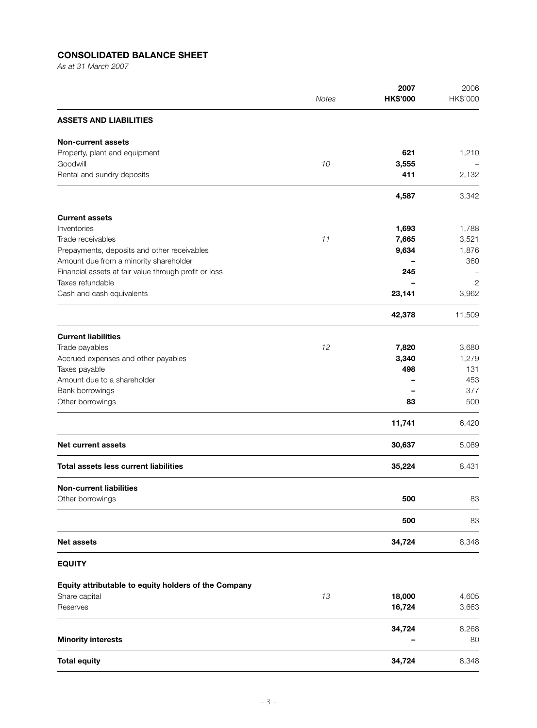# **CONSOLIDATED BALANCE SHEET**

*As at 31 March 2007*

|                                                       |              | 2007            | 2006     |
|-------------------------------------------------------|--------------|-----------------|----------|
|                                                       | <b>Notes</b> | <b>HK\$'000</b> | HK\$'000 |
| <b>ASSETS AND LIABILITIES</b>                         |              |                 |          |
| <b>Non-current assets</b>                             |              |                 |          |
| Property, plant and equipment                         |              | 621             | 1,210    |
| Goodwill                                              | 10           | 3,555           |          |
| Rental and sundry deposits                            |              | 411             | 2,132    |
|                                                       |              | 4,587           | 3,342    |
| <b>Current assets</b>                                 |              |                 |          |
| Inventories                                           |              | 1,693           | 1,788    |
| Trade receivables                                     | 11           | 7,665           | 3,521    |
| Prepayments, deposits and other receivables           |              | 9,634           | 1,876    |
| Amount due from a minority shareholder                |              |                 | 360      |
| Financial assets at fair value through profit or loss |              | 245             |          |
| Taxes refundable                                      |              |                 | 2        |
| Cash and cash equivalents                             |              | 23,141          | 3,962    |
|                                                       |              | 42,378          | 11,509   |
| <b>Current liabilities</b>                            |              |                 |          |
| Trade payables                                        | 12           | 7,820           | 3,680    |
| Accrued expenses and other payables                   |              | 3,340           | 1,279    |
| Taxes payable                                         |              | 498             | 131      |
| Amount due to a shareholder                           |              |                 | 453      |
| Bank borrowings                                       |              |                 | 377      |
| Other borrowings                                      |              | 83              | 500      |
|                                                       |              | 11,741          | 6,420    |
| <b>Net current assets</b>                             |              | 30,637          | 5,089    |
| Total assets less current liabilities                 |              | 35,224          | 8,431    |
| <b>Non-current liabilities</b>                        |              |                 |          |
| Other borrowings                                      |              | 500             | 83       |
|                                                       |              | 500             | 83       |
|                                                       |              |                 |          |
| <b>Net assets</b>                                     |              | 34,724          | 8,348    |
| <b>EQUITY</b>                                         |              |                 |          |
| Equity attributable to equity holders of the Company  |              |                 |          |
| Share capital                                         | 13           | 18,000          | 4,605    |
| Reserves                                              |              | 16,724          | 3,663    |
|                                                       |              | 34,724          | 8,268    |
| <b>Minority interests</b>                             |              |                 | 80       |
| <b>Total equity</b>                                   |              | 34,724          | 8,348    |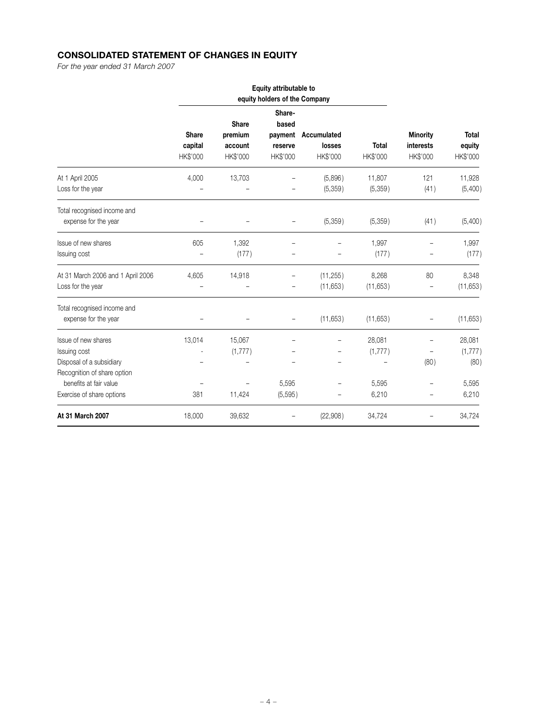# **CONSOLIDATED STATEMENT OF CHANGES IN EQUITY**

*For the year ended 31 March 2007*

|                                                                                    |                                     |                                | Equity attributable to<br>equity holders of the Company |                                   |                          |                                          |                                    |
|------------------------------------------------------------------------------------|-------------------------------------|--------------------------------|---------------------------------------------------------|-----------------------------------|--------------------------|------------------------------------------|------------------------------------|
|                                                                                    |                                     | Share                          | Share-<br>based                                         |                                   |                          |                                          |                                    |
|                                                                                    | <b>Share</b><br>capital<br>HK\$'000 | premium<br>account<br>HK\$'000 | payment<br>reserve<br>HK\$'000                          | Accumulated<br>losses<br>HK\$'000 | <b>Total</b><br>HK\$'000 | <b>Minority</b><br>interests<br>HK\$'000 | <b>Total</b><br>equity<br>HK\$'000 |
| At 1 April 2005<br>Loss for the year                                               | 4,000                               | 13,703                         |                                                         | (5,896)<br>(5,359)                | 11,807<br>(5,359)        | 121<br>(41)                              | 11,928<br>(5,400)                  |
| Total recognised income and<br>expense for the year                                |                                     |                                |                                                         | (5,359)                           | (5,359)                  | (41)                                     | (5,400)                            |
| Issue of new shares<br>Issuing cost                                                | 605                                 | 1,392<br>(177)                 |                                                         |                                   | 1,997<br>(177)           |                                          | 1,997<br>(177)                     |
| At 31 March 2006 and 1 April 2006<br>Loss for the year                             | 4,605                               | 14,918                         |                                                         | (11, 255)<br>(11, 653)            | 8,268<br>(11, 653)       | 80                                       | 8,348<br>(11,653)                  |
| Total recognised income and<br>expense for the year                                |                                     |                                | $\qquad \qquad -$                                       | (11, 653)                         | (11, 653)                |                                          | (11, 653)                          |
| Issue of new shares<br>Issuing cost<br>Disposal of a subsidiary                    | 13,014                              | 15,067<br>(1,777)              |                                                         |                                   | 28,081<br>(1, 777)       | (80)                                     | 28,081<br>(1,777)<br>(80)          |
| Recognition of share option<br>benefits at fair value<br>Exercise of share options | 381                                 | 11,424                         | 5,595<br>(5, 595)                                       |                                   | 5,595<br>6,210           |                                          | 5,595<br>6,210                     |
| At 31 March 2007                                                                   | 18,000                              | 39,632                         |                                                         | (22,908)                          | 34,724                   |                                          | 34,724                             |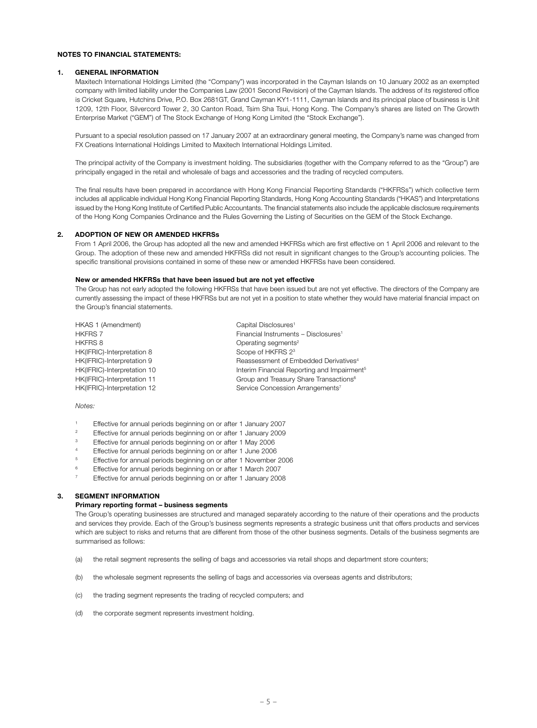## **NOTES TO FINANCIAL STATEMENTS:**

#### **1. GENERAL INFORMATION**

Maxitech International Holdings Limited (the "Company") was incorporated in the Cayman Islands on 10 January 2002 as an exempted company with limited liability under the Companies Law (2001 Second Revision) of the Cayman Islands. The address of its registered office is Cricket Square, Hutchins Drive, P.O. Box 2681GT, Grand Cayman KY1-1111, Cayman Islands and its principal place of business is Unit 1209, 12th Floor, Silvercord Tower 2, 30 Canton Road, Tsim Sha Tsui, Hong Kong. The Company's shares are listed on The Growth Enterprise Market ("GEM") of The Stock Exchange of Hong Kong Limited (the "Stock Exchange").

Pursuant to a special resolution passed on 17 January 2007 at an extraordinary general meeting, the Company's name was changed from FX Creations International Holdings Limited to Maxitech International Holdings Limited.

The principal activity of the Company is investment holding. The subsidiaries (together with the Company referred to as the "Group") are principally engaged in the retail and wholesale of bags and accessories and the trading of recycled computers.

The final results have been prepared in accordance with Hong Kong Financial Reporting Standards ("HKFRSs") which collective term includes all applicable individual Hong Kong Financial Reporting Standards, Hong Kong Accounting Standards ("HKAS") and Interpretations issued by the Hong Kong Institute of Certified Public Accountants. The financial statements also include the applicable disclosure requirements of the Hong Kong Companies Ordinance and the Rules Governing the Listing of Securities on the GEM of the Stock Exchange.

#### **2. ADOPTION OF NEW OR AMENDED HKFRSs**

From 1 April 2006, the Group has adopted all the new and amended HKFRSs which are first effective on 1 April 2006 and relevant to the Group. The adoption of these new and amended HKFRSs did not result in significant changes to the Group's accounting policies. The specific transitional provisions contained in some of these new or amended HKFRSs have been considered.

## **New or amended HKFRSs that have been issued but are not yet effective**

The Group has not early adopted the following HKFRSs that have been issued but are not yet effective. The directors of the Company are currently assessing the impact of these HKFRSs but are not yet in a position to state whether they would have material financial impact on the Group's financial statements.

| HKAS 1 (Amendment)          | Capital Disclosures <sup>1</sup>                        |
|-----------------------------|---------------------------------------------------------|
| <b>HKFRS 7</b>              | Financial Instruments - Disclosures <sup>1</sup>        |
| <b>HKFRS 8</b>              | Operating segments <sup>2</sup>                         |
| HK(IFRIC)-Interpretation 8  | Scope of HKFRS 2 <sup>3</sup>                           |
| HK(IFRIC)-Interpretation 9  | Reassessment of Embedded Derivatives <sup>4</sup>       |
| HK(IFRIC)-Interpretation 10 | Interim Financial Reporting and Impairment <sup>5</sup> |
| HK(IFRIC)-Interpretation 11 | Group and Treasury Share Transactions <sup>6</sup>      |
| HK(IFRIC)-Interpretation 12 | Service Concession Arrangements <sup>7</sup>            |

#### *Notes:*

- <sup>1</sup> Effective for annual periods beginning on or after 1 January 2007
- <sup>2</sup> Effective for annual periods beginning on or after 1 January 2009
- <sup>3</sup> Effective for annual periods beginning on or after 1 May 2006
- <sup>4</sup> Effective for annual periods beginning on or after 1 June 2006
- <sup>5</sup> Effective for annual periods beginning on or after 1 November 2006
- <sup>6</sup> Effective for annual periods beginning on or after 1 March 2007
- Effective for annual periods beginning on or after 1 January 2008

## **3. SEGMENT INFORMATION**

## **Primary reporting format – business segments**

The Group's operating businesses are structured and managed separately according to the nature of their operations and the products and services they provide. Each of the Group's business segments represents a strategic business unit that offers products and services which are subject to risks and returns that are different from those of the other business segments. Details of the business segments are summarised as follows:

- (a) the retail segment represents the selling of bags and accessories via retail shops and department store counters;
- (b) the wholesale segment represents the selling of bags and accessories via overseas agents and distributors;
- (c) the trading segment represents the trading of recycled computers; and
- (d) the corporate segment represents investment holding.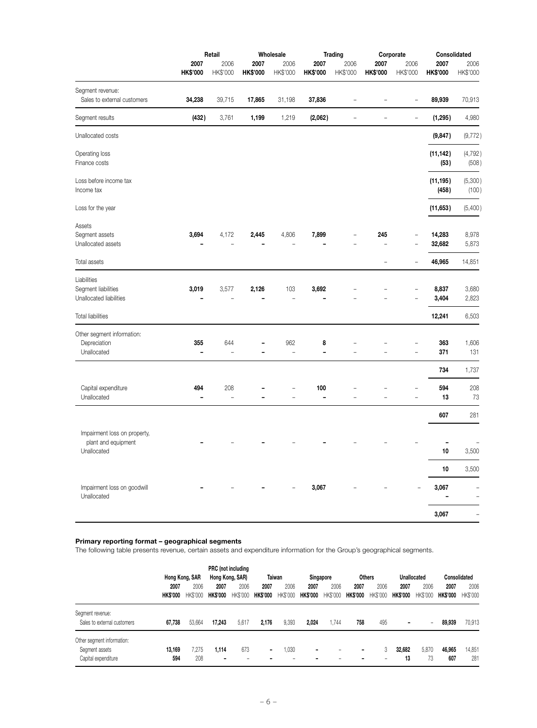|                                                                    |                  | Retail                          |                         | Wholesale        |                  | <b>Trading</b>   | Corporate                |                          | Consolidated            |                   |
|--------------------------------------------------------------------|------------------|---------------------------------|-------------------------|------------------|------------------|------------------|--------------------------|--------------------------|-------------------------|-------------------|
|                                                                    | 2007<br>HK\$'000 | 2006<br>HK\$'000                | 2007<br><b>HK\$'000</b> | 2006<br>HK\$'000 | 2007<br>HK\$'000 | 2006<br>HK\$'000 | 2007<br>HK\$'000         | 2006<br>HK\$'000         | 2007<br>HK\$'000        | 2006<br>HK\$'000  |
| Segment revenue:<br>Sales to external customers                    | 34,238           | 39,715                          | 17,865                  | 31,198           | 37,836           |                  |                          | ÷                        | 89,939                  | 70,913            |
| Segment results                                                    | (432)            | 3,761                           | 1,199                   | 1,219            | (2,062)          |                  | $\overline{\phantom{0}}$ | $\overline{\phantom{a}}$ | (1, 295)                | 4,980             |
| Unallocated costs                                                  |                  |                                 |                         |                  |                  |                  |                          |                          | (9, 847)                | (9, 772)          |
| Operating loss<br>Finance costs                                    |                  |                                 |                         |                  |                  |                  |                          |                          | (11, 142)<br>(53)       | (4, 792)<br>(508) |
| Loss before income tax<br>Income tax                               |                  |                                 |                         |                  |                  |                  |                          |                          | (11, 195)<br>(458)      | (5,300)<br>(100)  |
| Loss for the year                                                  |                  |                                 |                         |                  |                  |                  |                          |                          | (11, 653)               | (5,400)           |
| Assets<br>Segment assets<br>Unallocated assets                     | 3,694            | 4,172                           | 2,445                   | 4,806            | 7,899            |                  | 245                      |                          | 14,283<br>32,682        | 8,978<br>5,873    |
| Total assets                                                       |                  |                                 |                         |                  |                  |                  | $\overline{\phantom{0}}$ |                          | 46,965                  | 14,851            |
| Liabilities<br>Segment liabilities<br>Unallocated liabilities      | 3,019            | 3,577                           | 2,126                   | 103              | 3,692            |                  |                          |                          | 8,837<br>3,404          | 3,680<br>2,823    |
| <b>Total liabilities</b>                                           |                  |                                 |                         |                  |                  |                  |                          |                          | 12,241                  | 6,503             |
| Other segment information:<br>Depreciation<br>Unallocated          | 355<br>۳         | 644<br>$\overline{\phantom{0}}$ |                         | 962              | 8                |                  |                          |                          | 363<br>371              | 1,606<br>131      |
|                                                                    |                  |                                 |                         |                  |                  |                  |                          |                          | 734                     | 1,737             |
| Capital expenditure<br>Unallocated                                 | 494<br>۰         | 208<br>$\overline{\phantom{0}}$ |                         |                  | 100<br>÷         |                  |                          |                          | 594<br>13               | 208<br>73         |
|                                                                    |                  |                                 |                         |                  |                  |                  |                          |                          | 607                     | 281               |
| Impairment loss on property,<br>plant and equipment<br>Unallocated |                  |                                 |                         |                  |                  |                  |                          |                          | 10                      | 3,500             |
|                                                                    |                  |                                 |                         |                  |                  |                  |                          |                          | 10                      | 3,500             |
| Impairment loss on goodwill<br>Unallocated                         |                  |                                 |                         |                  | 3,067            |                  |                          |                          | 3,067<br>$\blacksquare$ |                   |
|                                                                    |                  |                                 |                         |                  |                  |                  |                          |                          | 3,067                   |                   |

#### **Primary reporting format – geographical segments**

The following table presents revenue, certain assets and expenditure information for the Group's geographical segments.

|                                                                     |                         | Hong Kong, SAR   |                         | PRC (not including<br>Hong Kong, SAR) |                         | <b>Taiwan</b>    |                         | Singapore |                           | Others           |                         | Unallocated      | Consolidated            |                  |
|---------------------------------------------------------------------|-------------------------|------------------|-------------------------|---------------------------------------|-------------------------|------------------|-------------------------|-----------|---------------------------|------------------|-------------------------|------------------|-------------------------|------------------|
|                                                                     | 2007<br><b>HK\$'000</b> | 2006<br>HK\$'000 | 2007<br><b>HK\$'000</b> | 2006<br>HK\$'000                      | 2007<br><b>HK\$'000</b> | 2006<br>HK\$'000 | 2007<br><b>HK\$'000</b> | 2006      | 2007<br>HK\$'000 HK\$'000 | 2006<br>HK\$'000 | 2007<br><b>HK\$'000</b> | 2006<br>HK\$'000 | 2007<br><b>HK\$'000</b> | 2006<br>HK\$'000 |
| Segment revenue:<br>Sales to external customers                     | 67.738                  | 53.664           | 17.243                  | 5,617                                 | 2.176                   | 9.393            | 2.024                   | 744،،     | 758                       | 495              | ۰                       |                  | 89.939                  | 70.913           |
| Other segment information:<br>Segment assets<br>Capital expenditure | 13.169<br>594           | 7.275<br>208     | 1.114<br>-              | 673                                   | ۰                       | 1.030            |                         |           | -                         | 3                | 32,682<br>13            | 5.870<br>73      | 46.965<br>607           | 14.851<br>281    |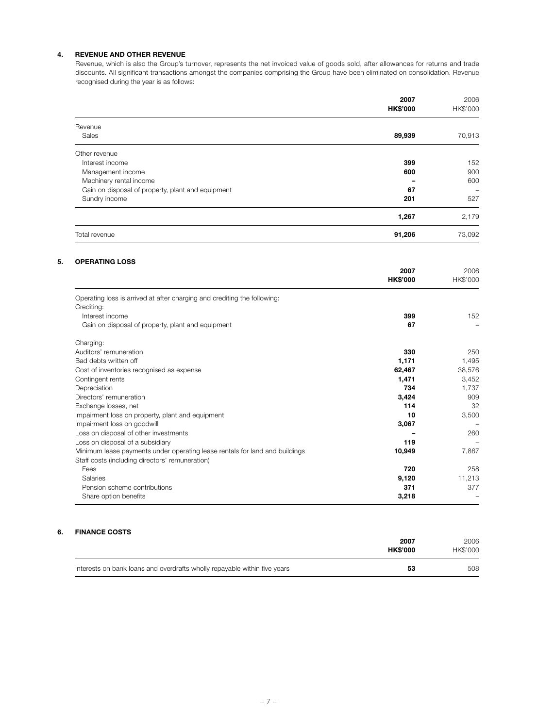## **4. REVENUE AND OTHER REVENUE**

Revenue, which is also the Group's turnover, represents the net invoiced value of goods sold, after allowances for returns and trade discounts. All significant transactions amongst the companies comprising the Group have been eliminated on consolidation. Revenue recognised during the year is as follows:

|                                                                                        | 2007<br><b>HK\$'000</b> | 2006<br>HK\$'000 |
|----------------------------------------------------------------------------------------|-------------------------|------------------|
| Revenue                                                                                |                         |                  |
| Sales                                                                                  | 89,939                  | 70,913           |
| Other revenue                                                                          |                         |                  |
| Interest income                                                                        | 399                     | 152              |
| Management income                                                                      | 600                     | 900              |
| Machinery rental income                                                                |                         | 600              |
| Gain on disposal of property, plant and equipment                                      | 67                      |                  |
| Sundry income                                                                          | 201                     | 527              |
|                                                                                        | 1,267                   | 2,179            |
| Total revenue                                                                          | 91,206                  | 73,092           |
| Operating loss is arrived at after charging and crediting the following:<br>Crediting: |                         |                  |
| Interest income<br>Gain on disposal of property, plant and equipment                   | 399<br>67               | 152              |
| Charging:                                                                              |                         |                  |
| Auditors' remuneration                                                                 | 330                     | 250              |
| Bad debts written off                                                                  | 1,171                   | 1,495            |
| Cost of inventories recognised as expense                                              | 62,467                  | 38,576           |
| Contingent rents                                                                       | 1,471                   | 3,452            |
| Depreciation                                                                           | 734                     | 1,737            |
| Directors' remuneration                                                                | 3,424                   | 909              |
| Exchange losses, net                                                                   | 114                     | 32               |
| Impairment loss on property, plant and equipment                                       | 10                      | 3,500            |
| Impairment loss on goodwill                                                            | 3,067                   |                  |
| Loss on disposal of other investments                                                  |                         | 260              |
| Loss on disposal of a subsidiary                                                       |                         |                  |
|                                                                                        | 119                     |                  |

| Staff costs (including directors' remuneration) |       |        |
|-------------------------------------------------|-------|--------|
| Fees                                            | 720   | 258    |
| Salaries                                        | 9.120 | 11.213 |
| Pension scheme contributions                    | 371   | 377    |
| Share option benefits                           | 3.218 |        |

## **6. FINANCE COSTS**

|                                                                           | 2007<br><b>HK\$'000</b> | 2006<br>HK\$'000 |
|---------------------------------------------------------------------------|-------------------------|------------------|
| Interests on bank loans and overdrafts wholly repayable within five years | 53                      | 508              |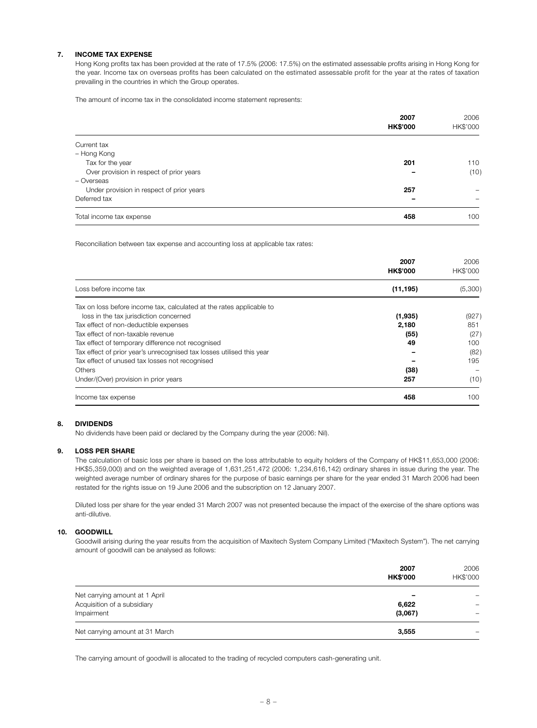#### **7. INCOME TAX EXPENSE**

Hong Kong profits tax has been provided at the rate of 17.5% (2006: 17.5%) on the estimated assessable profits arising in Hong Kong for the year. Income tax on overseas profits has been calculated on the estimated assessable profit for the year at the rates of taxation prevailing in the countries in which the Group operates.

The amount of income tax in the consolidated income statement represents:

|                                           | 2007<br><b>HK\$'000</b> | 2006<br>HK\$'000 |
|-------------------------------------------|-------------------------|------------------|
| Current tax                               |                         |                  |
| - Hong Kong                               |                         |                  |
| Tax for the year                          | 201                     | 110              |
| Over provision in respect of prior years  |                         | (10)             |
| - Overseas                                |                         |                  |
| Under provision in respect of prior years | 257                     |                  |
| Deferred tax                              |                         |                  |
| Total income tax expense                  | 458                     | 100              |

Reconciliation between tax expense and accounting loss at applicable tax rates:

|                                                                       | 2007<br><b>HK\$'000</b> | 2006<br>HK\$'000 |
|-----------------------------------------------------------------------|-------------------------|------------------|
| Loss before income tax                                                | (11, 195)               | (5,300)          |
| Tax on loss before income tax, calculated at the rates applicable to  |                         |                  |
| loss in the tax jurisdiction concerned                                | (1,935)                 | (927)            |
| Tax effect of non-deductible expenses                                 | 2,180                   | 851              |
| Tax effect of non-taxable revenue                                     | (55)                    | (27)             |
| Tax effect of temporary difference not recognised                     | 49                      | 100              |
| Tax effect of prior year's unrecognised tax losses utilised this year |                         | (82)             |
| Tax effect of unused tax losses not recognised                        |                         | 195              |
| Others                                                                | (38)                    |                  |
| Under/(Over) provision in prior years                                 | 257                     | (10)             |
| Income tax expense                                                    | 458                     | 100              |

## **8. DIVIDENDS**

No dividends have been paid or declared by the Company during the year (2006: Nil).

## **9. LOSS PER SHARE**

The calculation of basic loss per share is based on the loss attributable to equity holders of the Company of HK\$11,653,000 (2006: HK\$5,359,000) and on the weighted average of 1,631,251,472 (2006: 1,234,616,142) ordinary shares in issue during the year. The weighted average number of ordinary shares for the purpose of basic earnings per share for the year ended 31 March 2006 had been restated for the rights issue on 19 June 2006 and the subscription on 12 January 2007.

Diluted loss per share for the year ended 31 March 2007 was not presented because the impact of the exercise of the share options was anti-dilutive.

## **10. GOODWILL**

Goodwill arising during the year results from the acquisition of Maxitech System Company Limited ("Maxitech System"). The net carrying amount of goodwill can be analysed as follows:

|                                 | 2007<br><b>HK\$'000</b> | 2006<br>HK\$'000 |
|---------------------------------|-------------------------|------------------|
| Net carrying amount at 1 April  | -                       |                  |
| Acquisition of a subsidiary     | 6,622                   |                  |
| Impairment                      | (3,067)                 |                  |
| Net carrying amount at 31 March | 3,555                   |                  |

The carrying amount of goodwill is allocated to the trading of recycled computers cash-generating unit.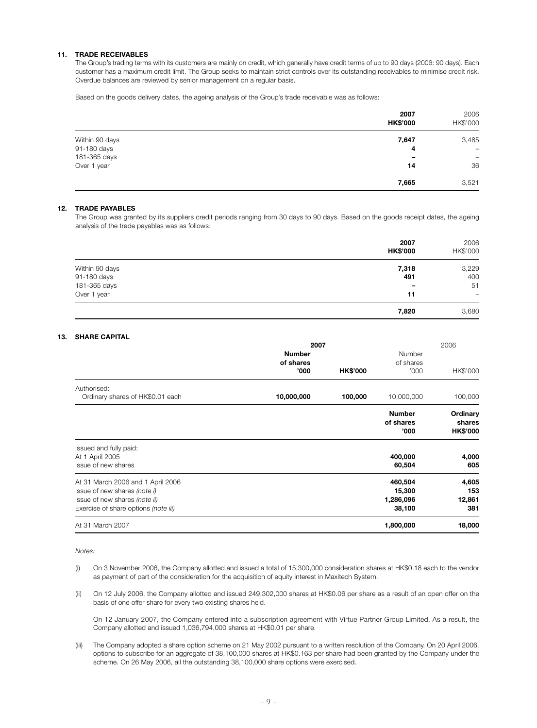## **11. TRADE RECEIVABLES**

The Group's trading terms with its customers are mainly on credit, which generally have credit terms of up to 90 days (2006: 90 days). Each customer has a maximum credit limit. The Group seeks to maintain strict controls over its outstanding receivables to minimise credit risk. Overdue balances are reviewed by senior management on a regular basis.

Based on the goods delivery dates, the ageing analysis of the Group's trade receivable was as follows:

|                | 2007<br><b>HK\$'000</b> | 2006<br>HK\$'000         |
|----------------|-------------------------|--------------------------|
| Within 90 days | 7,647                   | 3,485                    |
| 91-180 days    | 4                       | $\equiv$                 |
| 181-365 days   | -                       | $\overline{\phantom{0}}$ |
| Over 1 year    | 14                      | 36                       |
|                | 7,665                   | 3,521                    |

## **12. TRADE PAYABLES**

The Group was granted by its suppliers credit periods ranging from 30 days to 90 days. Based on the goods receipt dates, the ageing analysis of the trade payables was as follows:

|                | 2007<br><b>HK\$'000</b> | 2006<br>HK\$'000 |
|----------------|-------------------------|------------------|
| Within 90 days | 7,318                   | 3,229            |
| 91-180 days    | 491                     | 400              |
| 181-365 days   | -                       | 51               |
| Over 1 year    | 11                      | -                |
|                | 7,820                   | 3,680            |

#### **13. SHARE CAPITAL**

|                                           | 2007                       |                 | 2006                               |                                       |
|-------------------------------------------|----------------------------|-----------------|------------------------------------|---------------------------------------|
|                                           | <b>Number</b><br>of shares |                 | Number<br>of shares                |                                       |
|                                           | '000                       | <b>HK\$'000</b> | '000                               | HK\$'000                              |
| Authorised:                               |                            |                 |                                    |                                       |
| Ordinary shares of HK\$0.01 each          | 10,000,000                 | 100,000         | 10,000,000                         | 100,000                               |
|                                           |                            |                 | <b>Number</b><br>of shares<br>'000 | Ordinary<br>shares<br><b>HK\$'000</b> |
| Issued and fully paid:<br>At 1 April 2005 |                            |                 | 400,000                            | 4,000                                 |
| Issue of new shares                       |                            |                 | 60,504                             | 605                                   |
| At 31 March 2006 and 1 April 2006         |                            |                 | 460,504                            | 4,605                                 |
| Issue of new shares (note i)              |                            |                 | 15,300                             | 153                                   |
| Issue of new shares (note ii)             |                            |                 | 1,286,096                          | 12,861                                |
| Exercise of share options (note iii)      |                            |                 | 38,100                             | 381                                   |
| At 31 March 2007                          |                            |                 | 1,800,000                          | 18,000                                |

*Notes:*

- (i) On 3 November 2006, the Company allotted and issued a total of 15,300,000 consideration shares at HK\$0.18 each to the vendor as payment of part of the consideration for the acquisition of equity interest in Maxitech System.
- (ii) On 12 July 2006, the Company allotted and issued 249,302,000 shares at HK\$0.06 per share as a result of an open offer on the basis of one offer share for every two existing shares held.

On 12 January 2007, the Company entered into a subscription agreement with Virtue Partner Group Limited. As a result, the Company allotted and issued 1,036,794,000 shares at HK\$0.01 per share.

(iii) The Company adopted a share option scheme on 21 May 2002 pursuant to a written resolution of the Company. On 20 April 2006, options to subscribe for an aggregate of 38,100,000 shares at HK\$0.163 per share had been granted by the Company under the scheme. On 26 May 2006, all the outstanding 38,100,000 share options were exercised.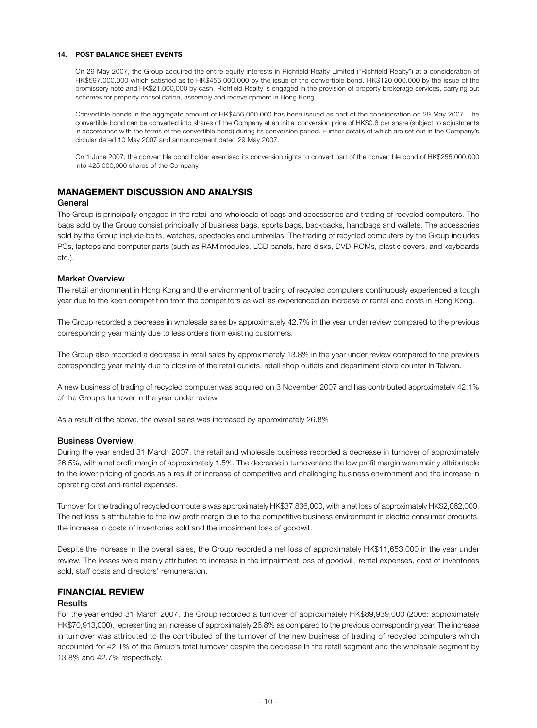## **14. POST BALANCE SHEET EVENTS**

On 29 May 2007, the Group acquired the entire equity interests in Richfield Realty Limited ("Richfield Realty") at a consideration of HK\$597,000,000 which satisfied as to HK\$456,000,000 by the issue of the convertible bond, HK\$120,000,000 by the issue of the promissory note and HK\$21,000,000 by cash, Richfield Realty is engaged in the provision of property brokerage services, carrying out schemes for property consolidation, assembly and redevelopment in Hong Kong.

Convertible bonds in the aggregate amount of HK\$456,000,000 has been issued as part of the consideration on 29 May 2007. The convertible bond can be converted into shares of the Company at an initial conversion price of HK\$0.6 per share (subject to adjustments in accordance with the terms of the convertible bond) during its conversion period. Further details of which are set out in the Company's circular dated 10 May 2007 and announcement dated 29 May 2007.

On 1 June 2007, the convertible bond holder exercised its conversion rights to convert part of the convertible bond of HK\$255,000,000 into 425,000,000 shares of the Company.

## **MANAGEMENT DISCUSSION AND ANALYSIS**

## **General**

The Group is principally engaged in the retail and wholesale of bags and accessories and trading of recycled computers. The bags sold by the Group consist principally of business bags, sports bags, backpacks, handbags and wallets. The accessories sold by the Group include belts, watches, spectacles and umbrellas. The trading of recycled computers by the Group includes PCs, laptops and computer parts (such as RAM modules, LCD panels, hard disks, DVD-ROMs, plastic covers, and keyboards etc.).

## **Market Overview**

The retail environment in Hong Kong and the environment of trading of recycled computers continuously experienced a tough year due to the keen competition from the competitors as well as experienced an increase of rental and costs in Hong Kong.

The Group recorded a decrease in wholesale sales by approximately 42.7% in the year under review compared to the previous corresponding year mainly due to less orders from existing customers.

The Group also recorded a decrease in retail sales by approximately 13.8% in the year under review compared to the previous corresponding year mainly due to closure of the retail outlets, retail shop outlets and department store counter in Taiwan.

A new business of trading of recycled computer was acquired on 3 November 2007 and has contributed approximately 42.1% of the Group's turnover in the year under review.

As a result of the above, the overall sales was increased by approximately 26.8%

#### **Business Overview**

During the year ended 31 March 2007, the retail and wholesale business recorded a decrease in turnover of approximately 26.5%, with a net profit margin of approximately 1.5%. The decrease in turnover and the low profit margin were mainly attributable to the lower pricing of goods as a result of increase of competitive and challenging business environment and the increase in operating cost and rental expenses.

Turnover for the trading of recycled computers was approximately HK\$37,836,000, with a net loss of approximately HK\$2,062,000. The net loss is attributable to the low profit margin due to the competitive business environment in electric consumer products, the increase in costs of inventories sold and the impairment loss of goodwill.

Despite the increase in the overall sales, the Group recorded a net loss of approximately HK\$11,653,000 in the year under review. The losses were mainly attributed to increase in the impairment loss of goodwill, rental expenses, cost of inventories sold, staff costs and directors' remuneration.

## **FINANCIAL REVIEW**

## **Results**

For the year ended 31 March 2007, the Group recorded a turnover of approximately HK\$89,939,000 (2006: approximately HK\$70,913,000), representing an increase of approximately 26.8% as compared to the previous corresponding year. The increase in turnover was attributed to the contributed of the turnover of the new business of trading of recycled computers which accounted for 42.1% of the Group's total turnover despite the decrease in the retail segment and the wholesale segment by 13.8% and 42.7% respectively.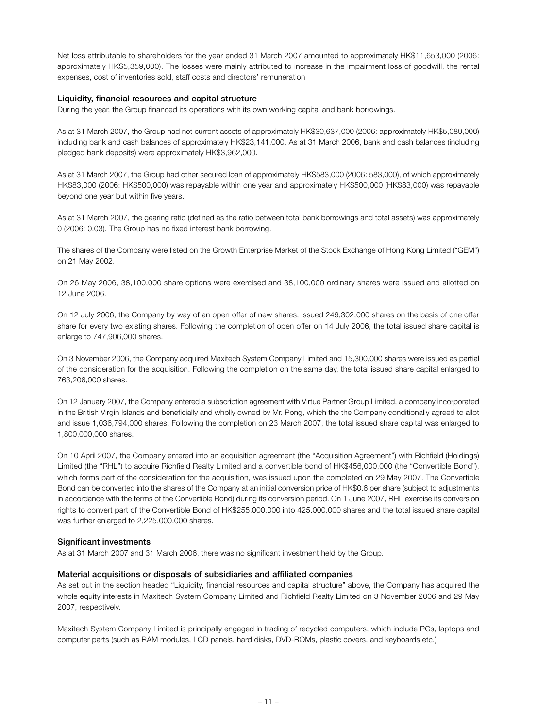Net loss attributable to shareholders for the year ended 31 March 2007 amounted to approximately HK\$11,653,000 (2006: approximately HK\$5,359,000). The losses were mainly attributed to increase in the impairment loss of goodwill, the rental expenses, cost of inventories sold, staff costs and directors' remuneration

## **Liquidity, financial resources and capital structure**

During the year, the Group financed its operations with its own working capital and bank borrowings.

As at 31 March 2007, the Group had net current assets of approximately HK\$30,637,000 (2006: approximately HK\$5,089,000) including bank and cash balances of approximately HK\$23,141,000. As at 31 March 2006, bank and cash balances (including pledged bank deposits) were approximately HK\$3,962,000.

As at 31 March 2007, the Group had other secured loan of approximately HK\$583,000 (2006: 583,000), of which approximately HK\$83,000 (2006: HK\$500,000) was repayable within one year and approximately HK\$500,000 (HK\$83,000) was repayable beyond one year but within five years.

As at 31 March 2007, the gearing ratio (defined as the ratio between total bank borrowings and total assets) was approximately 0 (2006: 0.03). The Group has no fixed interest bank borrowing.

The shares of the Company were listed on the Growth Enterprise Market of the Stock Exchange of Hong Kong Limited ("GEM") on 21 May 2002.

On 26 May 2006, 38,100,000 share options were exercised and 38,100,000 ordinary shares were issued and allotted on 12 June 2006.

On 12 July 2006, the Company by way of an open offer of new shares, issued 249,302,000 shares on the basis of one offer share for every two existing shares. Following the completion of open offer on 14 July 2006, the total issued share capital is enlarge to 747,906,000 shares.

On 3 November 2006, the Company acquired Maxitech System Company Limited and 15,300,000 shares were issued as partial of the consideration for the acquisition. Following the completion on the same day, the total issued share capital enlarged to 763,206,000 shares.

On 12 January 2007, the Company entered a subscription agreement with Virtue Partner Group Limited, a company incorporated in the British Virgin Islands and beneficially and wholly owned by Mr. Pong, which the the Company conditionally agreed to allot and issue 1,036,794,000 shares. Following the completion on 23 March 2007, the total issued share capital was enlarged to 1,800,000,000 shares.

On 10 April 2007, the Company entered into an acquisition agreement (the "Acquisition Agreement") with Richfield (Holdings) Limited (the "RHL") to acquire Richfield Realty Limited and a convertible bond of HK\$456,000,000 (the "Convertible Bond"), which forms part of the consideration for the acquisition, was issued upon the completed on 29 May 2007. The Convertible Bond can be converted into the shares of the Company at an initial conversion price of HK\$0.6 per share (subject to adjustments in accordance with the terms of the Convertible Bond) during its conversion period. On 1 June 2007, RHL exercise its conversion rights to convert part of the Convertible Bond of HK\$255,000,000 into 425,000,000 shares and the total issued share capital was further enlarged to 2,225,000,000 shares.

## **Significant investments**

As at 31 March 2007 and 31 March 2006, there was no significant investment held by the Group.

## **Material acquisitions or disposals of subsidiaries and affiliated companies**

As set out in the section headed "Liquidity, financial resources and capital structure" above, the Company has acquired the whole equity interests in Maxitech System Company Limited and Richfield Realty Limited on 3 November 2006 and 29 May 2007, respectively.

Maxitech System Company Limited is principally engaged in trading of recycled computers, which include PCs, laptops and computer parts (such as RAM modules, LCD panels, hard disks, DVD-ROMs, plastic covers, and keyboards etc.)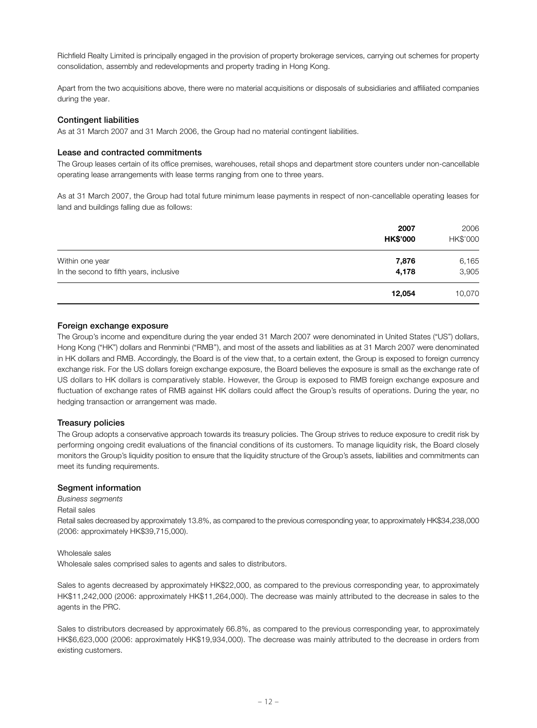Richfield Realty Limited is principally engaged in the provision of property brokerage services, carrying out schemes for property consolidation, assembly and redevelopments and property trading in Hong Kong.

Apart from the two acquisitions above, there were no material acquisitions or disposals of subsidiaries and affiliated companies during the year.

## **Contingent liabilities**

As at 31 March 2007 and 31 March 2006, the Group had no material contingent liabilities.

## **Lease and contracted commitments**

The Group leases certain of its office premises, warehouses, retail shops and department store counters under non-cancellable operating lease arrangements with lease terms ranging from one to three years.

As at 31 March 2007, the Group had total future minimum lease payments in respect of non-cancellable operating leases for land and buildings falling due as follows:

|                                         | 2007<br><b>HK\$'000</b> | 2006<br>HK\$'000 |
|-----------------------------------------|-------------------------|------------------|
| Within one year                         | 7,876                   | 6,165            |
| In the second to fifth years, inclusive | 4,178                   | 3,905            |
|                                         | 12,054                  | 10,070           |

## **Foreign exchange exposure**

The Group's income and expenditure during the year ended 31 March 2007 were denominated in United States ("US") dollars, Hong Kong ("HK") dollars and Renminbi ("RMB''), and most of the assets and liabilities as at 31 March 2007 were denominated in HK dollars and RMB. Accordingly, the Board is of the view that, to a certain extent, the Group is exposed to foreign currency exchange risk. For the US dollars foreign exchange exposure, the Board believes the exposure is small as the exchange rate of US dollars to HK dollars is comparatively stable. However, the Group is exposed to RMB foreign exchange exposure and fluctuation of exchange rates of RMB against HK dollars could affect the Group's results of operations. During the year, no hedging transaction or arrangement was made.

## **Treasury policies**

The Group adopts a conservative approach towards its treasury policies. The Group strives to reduce exposure to credit risk by performing ongoing credit evaluations of the financial conditions of its customers. To manage liquidity risk, the Board closely monitors the Group's liquidity position to ensure that the liquidity structure of the Group's assets, liabilities and commitments can meet its funding requirements.

## **Segment information**

*Business segments*

# Retail sales

Retail sales decreased by approximately 13.8%, as compared to the previous corresponding year, to approximately HK\$34,238,000 (2006: approximately HK\$39,715,000).

## Wholesale sales

Wholesale sales comprised sales to agents and sales to distributors.

Sales to agents decreased by approximately HK\$22,000, as compared to the previous corresponding year, to approximately HK\$11,242,000 (2006: approximately HK\$11,264,000). The decrease was mainly attributed to the decrease in sales to the agents in the PRC.

Sales to distributors decreased by approximately 66.8%, as compared to the previous corresponding year, to approximately HK\$6,623,000 (2006: approximately HK\$19,934,000). The decrease was mainly attributed to the decrease in orders from existing customers.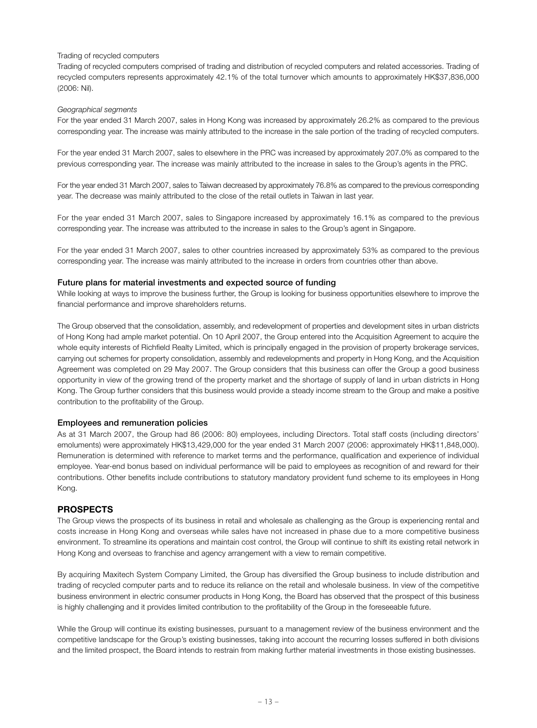## Trading of recycled computers

Trading of recycled computers comprised of trading and distribution of recycled computers and related accessories. Trading of recycled computers represents approximately 42.1% of the total turnover which amounts to approximately HK\$37,836,000 (2006: Nil).

## *Geographical segments*

For the year ended 31 March 2007, sales in Hong Kong was increased by approximately 26.2% as compared to the previous corresponding year. The increase was mainly attributed to the increase in the sale portion of the trading of recycled computers.

For the year ended 31 March 2007, sales to elsewhere in the PRC was increased by approximately 207.0% as compared to the previous corresponding year. The increase was mainly attributed to the increase in sales to the Group's agents in the PRC.

For the year ended 31 March 2007, sales to Taiwan decreased by approximately 76.8% as compared to the previous corresponding year. The decrease was mainly attributed to the close of the retail outlets in Taiwan in last year.

For the year ended 31 March 2007, sales to Singapore increased by approximately 16.1% as compared to the previous corresponding year. The increase was attributed to the increase in sales to the Group's agent in Singapore.

For the year ended 31 March 2007, sales to other countries increased by approximately 53% as compared to the previous corresponding year. The increase was mainly attributed to the increase in orders from countries other than above.

## **Future plans for material investments and expected source of funding**

While looking at ways to improve the business further, the Group is looking for business opportunities elsewhere to improve the financial performance and improve shareholders returns.

The Group observed that the consolidation, assembly, and redevelopment of properties and development sites in urban districts of Hong Kong had ample market potential. On 10 April 2007, the Group entered into the Acquisition Agreement to acquire the whole equity interests of Richfield Realty Limited, which is principally engaged in the provision of property brokerage services, carrying out schemes for property consolidation, assembly and redevelopments and property in Hong Kong, and the Acquisition Agreement was completed on 29 May 2007. The Group considers that this business can offer the Group a good business opportunity in view of the growing trend of the property market and the shortage of supply of land in urban districts in Hong Kong. The Group further considers that this business would provide a steady income stream to the Group and make a positive contribution to the profitability of the Group.

## **Employees and remuneration policies**

As at 31 March 2007, the Group had 86 (2006: 80) employees, including Directors. Total staff costs (including directors' emoluments) were approximately HK\$13,429,000 for the year ended 31 March 2007 (2006: approximately HK\$11,848,000). Remuneration is determined with reference to market terms and the performance, qualification and experience of individual employee. Year-end bonus based on individual performance will be paid to employees as recognition of and reward for their contributions. Other benefits include contributions to statutory mandatory provident fund scheme to its employees in Hong Kong.

## **PROSPECTS**

The Group views the prospects of its business in retail and wholesale as challenging as the Group is experiencing rental and costs increase in Hong Kong and overseas while sales have not increased in phase due to a more competitive business environment. To streamline its operations and maintain cost control, the Group will continue to shift its existing retail network in Hong Kong and overseas to franchise and agency arrangement with a view to remain competitive.

By acquiring Maxitech System Company Limited, the Group has diversified the Group business to include distribution and trading of recycled computer parts and to reduce its reliance on the retail and wholesale business. In view of the competitive business environment in electric consumer products in Hong Kong, the Board has observed that the prospect of this business is highly challenging and it provides limited contribution to the profitability of the Group in the foreseeable future.

While the Group will continue its existing businesses, pursuant to a management review of the business environment and the competitive landscape for the Group's existing businesses, taking into account the recurring losses suffered in both divisions and the limited prospect, the Board intends to restrain from making further material investments in those existing businesses.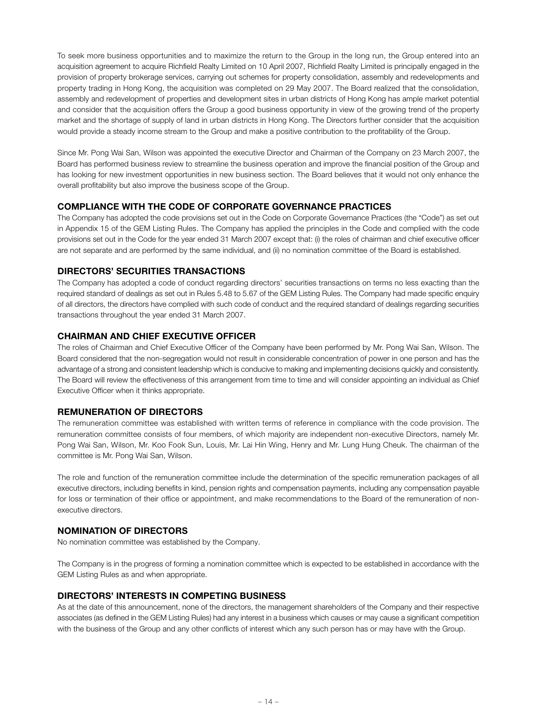To seek more business opportunities and to maximize the return to the Group in the long run, the Group entered into an acquisition agreement to acquire Richfield Realty Limited on 10 April 2007, Richfield Realty Limited is principally engaged in the provision of property brokerage services, carrying out schemes for property consolidation, assembly and redevelopments and property trading in Hong Kong, the acquisition was completed on 29 May 2007. The Board realized that the consolidation, assembly and redevelopment of properties and development sites in urban districts of Hong Kong has ample market potential and consider that the acquisition offers the Group a good business opportunity in view of the growing trend of the property market and the shortage of supply of land in urban districts in Hong Kong. The Directors further consider that the acquisition would provide a steady income stream to the Group and make a positive contribution to the profitability of the Group.

Since Mr. Pong Wai San, Wilson was appointed the executive Director and Chairman of the Company on 23 March 2007, the Board has performed business review to streamline the business operation and improve the financial position of the Group and has looking for new investment opportunities in new business section. The Board believes that it would not only enhance the overall profitability but also improve the business scope of the Group.

# **COMPLIANCE WITH THE CODE OF CORPORATE GOVERNANCE PRACTICES**

The Company has adopted the code provisions set out in the Code on Corporate Governance Practices (the "Code") as set out in Appendix 15 of the GEM Listing Rules. The Company has applied the principles in the Code and complied with the code provisions set out in the Code for the year ended 31 March 2007 except that: (i) the roles of chairman and chief executive officer are not separate and are performed by the same individual, and (ii) no nomination committee of the Board is established.

# **DIRECTORS' SECURITIES TRANSACTIONS**

The Company has adopted a code of conduct regarding directors' securities transactions on terms no less exacting than the required standard of dealings as set out in Rules 5.48 to 5.67 of the GEM Listing Rules. The Company had made specific enquiry of all directors, the directors have complied with such code of conduct and the required standard of dealings regarding securities transactions throughout the year ended 31 March 2007.

# **CHAIRMAN AND CHIEF EXECUTIVE OFFICER**

The roles of Chairman and Chief Executive Officer of the Company have been performed by Mr. Pong Wai San, Wilson. The Board considered that the non-segregation would not result in considerable concentration of power in one person and has the advantage of a strong and consistent leadership which is conducive to making and implementing decisions quickly and consistently. The Board will review the effectiveness of this arrangement from time to time and will consider appointing an individual as Chief Executive Officer when it thinks appropriate.

# **REMUNERATION OF DIRECTORS**

The remuneration committee was established with written terms of reference in compliance with the code provision. The remuneration committee consists of four members, of which majority are independent non-executive Directors, namely Mr. Pong Wai San, Wilson, Mr. Koo Fook Sun, Louis, Mr. Lai Hin Wing, Henry and Mr. Lung Hung Cheuk. The chairman of the committee is Mr. Pong Wai San, Wilson.

The role and function of the remuneration committee include the determination of the specific remuneration packages of all executive directors, including benefits in kind, pension rights and compensation payments, including any compensation payable for loss or termination of their office or appointment, and make recommendations to the Board of the remuneration of nonexecutive directors.

# **NOMINATION OF DIRECTORS**

No nomination committee was established by the Company.

The Company is in the progress of forming a nomination committee which is expected to be established in accordance with the GEM Listing Rules as and when appropriate.

# **DIRECTORS' INTERESTS IN COMPETING BUSINESS**

As at the date of this announcement, none of the directors, the management shareholders of the Company and their respective associates (as defined in the GEM Listing Rules) had any interest in a business which causes or may cause a significant competition with the business of the Group and any other conflicts of interest which any such person has or may have with the Group.